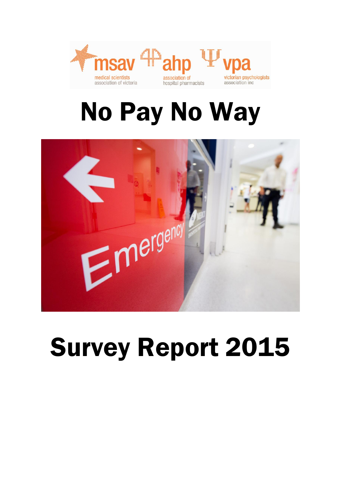

# No Pay No Way



# Survey Report 2015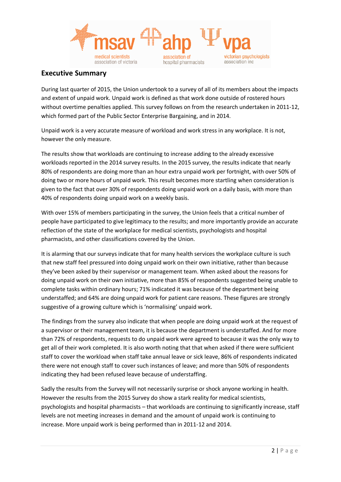

## **Executive Summary**

During last quarter of 2015, the Union undertook to a survey of all of its members about the impacts and extent of unpaid work. Unpaid work is defined as that work done outside of rostered hours without overtime penalties applied. This survey follows on from the research undertaken in 2011-12, which formed part of the Public Sector Enterprise Bargaining, and in 2014.

Unpaid work is a very accurate measure of workload and work stress in any workplace. It is not, however the only measure.

The results show that workloads are continuing to increase adding to the already excessive workloads reported in the 2014 survey results. In the 2015 survey, the results indicate that nearly 80% of respondents are doing more than an hour extra unpaid work per fortnight, with over 50% of doing two or more hours of unpaid work. This result becomes more startling when consideration is given to the fact that over 30% of respondents doing unpaid work on a daily basis, with more than 40% of respondents doing unpaid work on a weekly basis.

With over 15% of members participating in the survey, the Union feels that a critical number of people have participated to give legitimacy to the results; and more importantly provide an accurate reflection of the state of the workplace for medical scientists, psychologists and hospital pharmacists, and other classifications covered by the Union.

It is alarming that our surveys indicate that for many health services the workplace culture is such that new staff feel pressured into doing unpaid work on their own initiative, rather than because they've been asked by their supervisor or management team. When asked about the reasons for doing unpaid work on their own initiative, more than 85% of respondents suggested being unable to complete tasks within ordinary hours; 71% indicated it was because of the department being understaffed; and 64% are doing unpaid work for patient care reasons. These figures are strongly suggestive of a growing culture which is 'normalising' unpaid work.

The findings from the survey also indicate that when people are doing unpaid work at the request of a supervisor or their management team, it is because the department is understaffed. And for more than 72% of respondents, requests to do unpaid work were agreed to because it was the only way to get all of their work completed. It is also worth noting that that when asked if there were sufficient staff to cover the workload when staff take annual leave or sick leave, 86% of respondents indicated there were not enough staff to cover such instances of leave; and more than 50% of respondents indicating they had been refused leave because of understaffing.

Sadly the results from the Survey will not necessarily surprise or shock anyone working in health. However the results from the 2015 Survey do show a stark reality for medical scientists, psychologists and hospital pharmacists – that workloads are continuing to significantly increase, staff levels are not meeting increases in demand and the amount of unpaid work is continuing to increase. More unpaid work is being performed than in 2011-12 and 2014.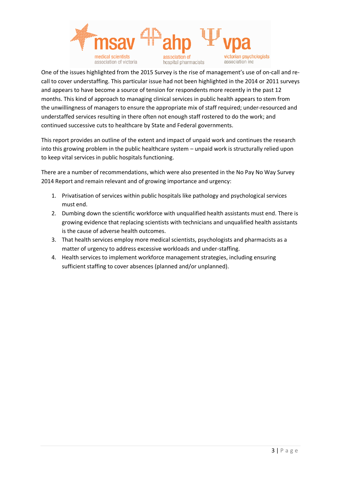

One of the issues highlighted from the 2015 Survey is the rise of management's use of on-call and recall to cover understaffing. This particular issue had not been highlighted in the 2014 or 2011 surveys and appears to have become a source of tension for respondents more recently in the past 12 months. This kind of approach to managing clinical services in public health appears to stem from the unwillingness of managers to ensure the appropriate mix of staff required; under-resourced and understaffed services resulting in there often not enough staff rostered to do the work; and continued successive cuts to healthcare by State and Federal governments.

This report provides an outline of the extent and impact of unpaid work and continues the research into this growing problem in the public healthcare system – unpaid work is structurally relied upon to keep vital services in public hospitals functioning.

There are a number of recommendations, which were also presented in the No Pay No Way Survey 2014 Report and remain relevant and of growing importance and urgency:

- 1. Privatisation of services within public hospitals like pathology and psychological services must end.
- 2. Dumbing down the scientific workforce with unqualified health assistants must end. There is growing evidence that replacing scientists with technicians and unqualified health assistants is the cause of adverse health outcomes.
- 3. That health services employ more medical scientists, psychologists and pharmacists as a matter of urgency to address excessive workloads and under-staffing.
- 4. Health services to implement workforce management strategies, including ensuring sufficient staffing to cover absences (planned and/or unplanned).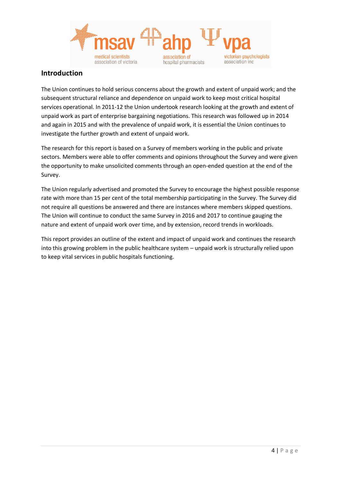

## **Introduction**

The Union continues to hold serious concerns about the growth and extent of unpaid work; and the subsequent structural reliance and dependence on unpaid work to keep most critical hospital services operational. In 2011-12 the Union undertook research looking at the growth and extent of unpaid work as part of enterprise bargaining negotiations. This research was followed up in 2014 and again in 2015 and with the prevalence of unpaid work, it is essential the Union continues to investigate the further growth and extent of unpaid work.

The research for this report is based on a Survey of members working in the public and private sectors. Members were able to offer comments and opinions throughout the Survey and were given the opportunity to make unsolicited comments through an open-ended question at the end of the Survey.

The Union regularly advertised and promoted the Survey to encourage the highest possible response rate with more than 15 per cent of the total membership participating in the Survey. The Survey did not require all questions be answered and there are instances where members skipped questions. The Union will continue to conduct the same Survey in 2016 and 2017 to continue gauging the nature and extent of unpaid work over time, and by extension, record trends in workloads.

This report provides an outline of the extent and impact of unpaid work and continues the research into this growing problem in the public healthcare system – unpaid work is structurally relied upon to keep vital services in public hospitals functioning.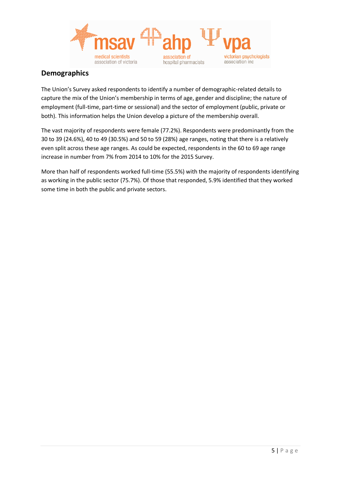

## **Demographics**

The Union's Survey asked respondents to identify a number of demographic-related details to capture the mix of the Union's membership in terms of age, gender and discipline; the nature of employment (full-time, part-time or sessional) and the sector of employment (public, private or both). This information helps the Union develop a picture of the membership overall.

The vast majority of respondents were female (77.2%). Respondents were predominantly from the 30 to 39 (24.6%), 40 to 49 (30.5%) and 50 to 59 (28%) age ranges, noting that there is a relatively even split across these age ranges. As could be expected, respondents in the 60 to 69 age range increase in number from 7% from 2014 to 10% for the 2015 Survey.

More than half of respondents worked full-time (55.5%) with the majority of respondents identifying as working in the public sector (75.7%). Of those that responded, 5.9% identified that they worked some time in both the public and private sectors.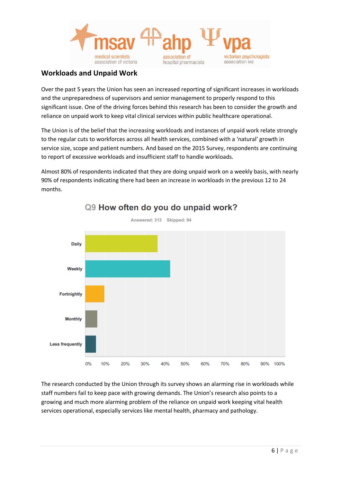

## **Workloads and Unpaid Work**

Over the past 5 years the Union has seen an increased reporting of significant increases in workloads and the unpreparedness of supervisors and senior management to properly respond to this significant issue. One of the driving forces behind this research has been to consider the growth and reliance on unpaid work to keep vital clinical services within public healthcare operational.

The Union is of the belief that the increasing workloads and instances of unpaid work relate strongly to the regular cuts to workforces across all health services, combined with a 'natural' growth in service size, scope and patient numbers. And based on the 2015 Survey, respondents are continuing to report of excessive workloads and insufficient staff to handle workloads.

Almost 80% of respondents indicated that they are doing unpaid work on a weekly basis, with nearly 90% of respondents indicating there had been an increase in workloads in the previous 12 to 24 months.



# Q9 How often do you do unpaid work?

The research conducted by the Union through its survey shows an alarming rise in workloads while staff numbers fail to keep pace with growing demands. The Union's research also points to a growing and much more alarming problem of the reliance on unpaid work keeping vital health services operational, especially services like mental health, pharmacy and pathology.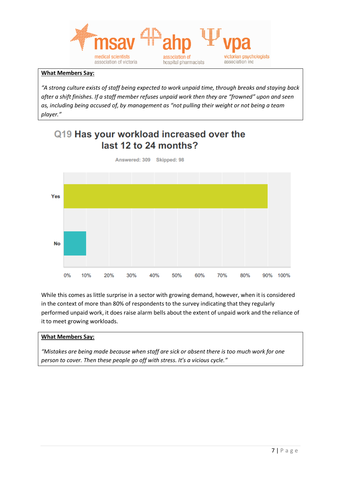

## **What Members Say:**

*"A strong culture exists of staff being expected to work unpaid time, through breaks and staying back after a shift finishes. If a staff member refuses unpaid work then they are "frowned" upon and seen as, including being accused of, by management as "not pulling their weight or not being a team player."*

## Q19 Has your workload increased over the last 12 to 24 months?



While this comes as little surprise in a sector with growing demand, however, when it is considered in the context of more than 80% of respondents to the survey indicating that they regularly performed unpaid work, it does raise alarm bells about the extent of unpaid work and the reliance of it to meet growing workloads.

#### **What Members Say:**

*"Mistakes are being made because when staff are sick or absent there is too much work for one person to cover. Then these people go off with stress. It's a vicious cycle."*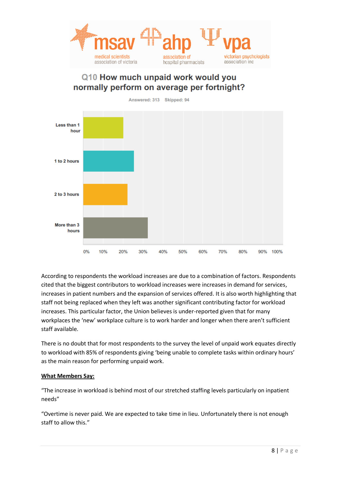

## Q10 How much unpaid work would you normally perform on average per fortnight?

Answered: 313 Skipped: 94 Less than 1 hour 1 to 2 hours 2 to 3 hours More than 3 hours 10% 40%  $0%$ 20% 30% 50% 60% 70% 80%  $90%$ 100%

According to respondents the workload increases are due to a combination of factors. Respondents cited that the biggest contributors to workload increases were increases in demand for services, increases in patient numbers and the expansion of services offered. It is also worth highlighting that staff not being replaced when they left was another significant contributing factor for workload increases. This particular factor, the Union believes is under-reported given that for many workplaces the 'new' workplace culture is to work harder and longer when there aren't sufficient staff available.

There is no doubt that for most respondents to the survey the level of unpaid work equates directly to workload with 85% of respondents giving 'being unable to complete tasks within ordinary hours' as the main reason for performing unpaid work.

### **What Members Say:**

"The increase in workload is behind most of our stretched staffing levels particularly on inpatient needs"

"Overtime is never paid. We are expected to take time in lieu. Unfortunately there is not enough staff to allow this."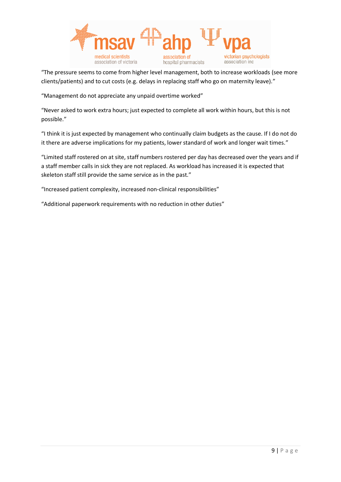

"The pressure seems to come from higher level management, both to increase workloads (see more clients/patients) and to cut costs (e.g. delays in replacing staff who go on maternity leave)."

"Management do not appreciate any unpaid overtime worked"

"Never asked to work extra hours; just expected to complete all work within hours, but this is not possible."

"I think it is just expected by management who continually claim budgets as the cause. If I do not do it there are adverse implications for my patients, lower standard of work and longer wait times."

"Limited staff rostered on at site, staff numbers rostered per day has decreased over the years and if a staff member calls in sick they are not replaced. As workload has increased it is expected that skeleton staff still provide the same service as in the past."

"Increased patient complexity, increased non-clinical responsibilities"

"Additional paperwork requirements with no reduction in other duties"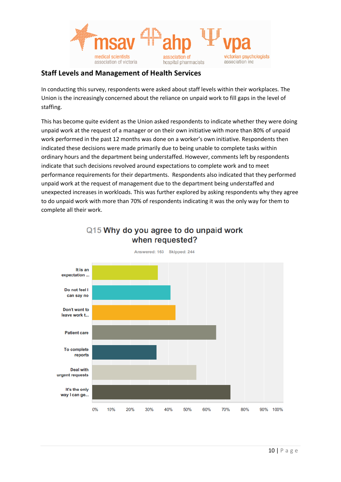

## **Staff Levels and Management of Health Services**

In conducting this survey, respondents were asked about staff levels within their workplaces. The Union is the increasingly concerned about the reliance on unpaid work to fill gaps in the level of staffing.

This has become quite evident as the Union asked respondents to indicate whether they were doing unpaid work at the request of a manager or on their own initiative with more than 80% of unpaid work performed in the past 12 months was done on a worker's own initiative. Respondents then indicated these decisions were made primarily due to being unable to complete tasks within ordinary hours and the department being understaffed. However, comments left by respondents indicate that such decisions revolved around expectations to complete work and to meet performance requirements for their departments. Respondents also indicated that they performed unpaid work at the request of management due to the department being understaffed and unexpected increases in workloads. This was further explored by asking respondents why they agree to do unpaid work with more than 70% of respondents indicating it was the only way for them to complete all their work.



## Q15 Why do you agree to do unpaid work when requested?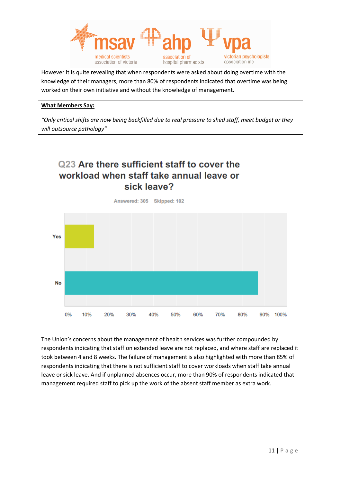

However it is quite revealing that when respondents were asked about doing overtime with the knowledge of their managers, more than 80% of respondents indicated that overtime was being worked on their own initiative and without the knowledge of management.

## **What Members Say:**

*"Only critical shifts are now being backfilled due to real pressure to shed staff, meet budget or they will outsource pathology"*

# Q23 Are there sufficient staff to cover the workload when staff take annual leave or sick leave?

Answered: 305 Skipped: 102



The Union's concerns about the management of health services was further compounded by respondents indicating that staff on extended leave are not replaced, and where staff are replaced it took between 4 and 8 weeks. The failure of management is also highlighted with more than 85% of respondents indicating that there is not sufficient staff to cover workloads when staff take annual leave or sick leave. And if unplanned absences occur, more than 90% of respondents indicated that management required staff to pick up the work of the absent staff member as extra work.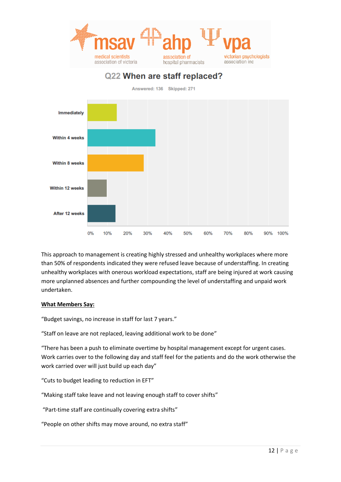

## Q22 When are staff replaced?

Answered: 136 Skipped: 271



This approach to management is creating highly stressed and unhealthy workplaces where more than 50% of respondents indicated they were refused leave because of understaffing. In creating unhealthy workplaces with onerous workload expectations, staff are being injured at work causing more unplanned absences and further compounding the level of understaffing and unpaid work undertaken.

### **What Members Say:**

"Budget savings, no increase in staff for last 7 years."

"Staff on leave are not replaced, leaving additional work to be done"

"There has been a push to eliminate overtime by hospital management except for urgent cases. Work carries over to the following day and staff feel for the patients and do the work otherwise the work carried over will just build up each day"

"Cuts to budget leading to reduction in EFT"

"Making staff take leave and not leaving enough staff to cover shifts"

"Part-time staff are continually covering extra shifts"

"People on other shifts may move around, no extra staff"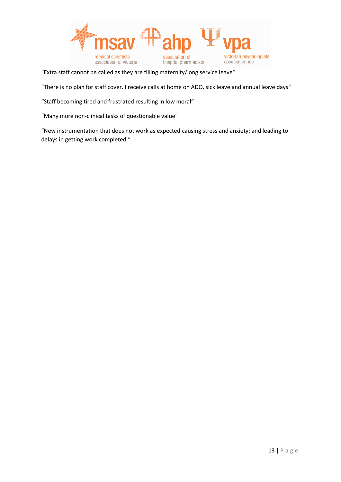

"Extra staff cannot be called as they are filling maternity/long service leave"

"There is no plan for staff cover. I receive calls at home on ADO, sick leave and annual leave days"

"Staff becoming tired and frustrated resulting in low moral"

"Many more non-clinical tasks of questionable value"

"New instrumentation that does not work as expected causing stress and anxiety; and leading to delays in getting work completed."